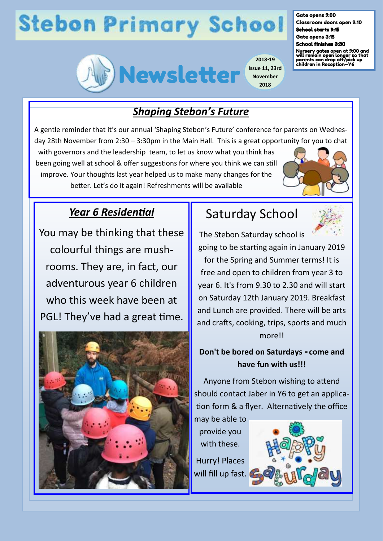# **Stebon Primary School**



**2018-19 Issue 11, 23rd November 2018**

#### Gate opens 9:00 Classroom doors open 9:10

School starts 9:15 Gate opens 3:15

#### School finishes 3:30

Nursery gates open at 9:00 and will remain open longer so that parents can drop off/pick up children in Reception—Y6

## *Shaping Stebon's Future*

A gentle reminder that it's our annual 'Shaping Stebon's Future' conference for parents on Wednesday 28th November from 2:30 – 3:30pm in the Main Hall. This is a great opportunity for you to chat

with governors and the leadership team, to let us know what you think has been going well at school & offer suggestions for where you think we can still improve. Your thoughts last year helped us to make many changes for the better. Let's do it again! Refreshments will be available



## *Year 6 Residential*

You may be thinking that these colourful things are mushrooms. They are, in fact, our adventurous year 6 children who this week have been at PGL! They've had a great time.



# Saturday School



The Stebon Saturday school is going to be starting again in January 2019 for the Spring and Summer terms! It is free and open to children from year 3 to year 6. It's from 9.30 to 2.30 and will start on Saturday 12th January 2019. Breakfast and Lunch are provided. There will be arts and crafts, cooking, trips, sports and much more!!

### **Don't be bored on Saturdays - come and have fun with us!!!**

Anyone from Stebon wishing to attend should contact Jaber in Y6 to get an application form & a flyer. Alternatively the office

may be able to provide you with these. Hurry! Places will fill up fast.

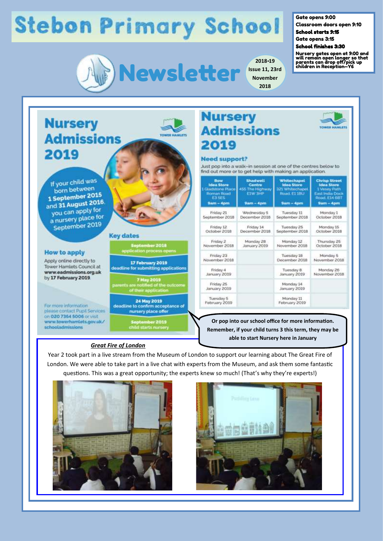# **Stebon Primary School**



**2018-19 Issue 11, 23rd November 2018**

#### Gate opens 9:00

Classroom doors open 9:10

School starts 9:15 Gate opens 3:15

#### School finishes 3:30

Nursery gates open at 9:00 and will remain open longer so that parents can drop off/pick up children in Reception—Y6

**BARBARAS** 

**Nursery Admissions** 2019

If your child was born between 1 September 2015 and 31 August 2016 you can apply for a nursery place for September 2019

#### **How to apply**

Apply online directly to Tower Hamlets Council at www.eadmissions.org.uk by 17 February 2019

For more information please contact Pupil Services on 020 7364 5006 or visit www.towerhamlets.gov.uk/ schooladmissions



17 February 2019 deadline for submitting applications

7 May 2019<br>are notified of the<br>of their application

24 May 2019 deadline to confirm acceptance of nursery place offer

<mark>eptember 2019</mark><br>ild starts nurser

| <b>Nursery</b>    |  |  |
|-------------------|--|--|
| <b>Admissions</b> |  |  |
| 2019              |  |  |

#### **Need support?**

Just pop into a walk-in session at one of the centres below to find out more or to get help with making an application.

| <b>Bow</b><br><b>Idea Store</b><br>1 Gladstone Place<br>Roman Road<br><b>E35E5</b><br>$Sum - 4pm$ | <b>Shadwell</b><br>Centre<br>455 The Highway<br><b>ETW 3HP</b><br>$9am - 4pm$ | Whitechapel<br><b>Idea Store</b><br>321 Whitechapel<br>Road, E11BU<br>Sam - 4pm | <b>Chrisp Street</b><br><b>Idea Store</b><br>1 Vesey Path<br><b>East India Dock</b><br>Road, E14 681<br>9am - 4pm |
|---------------------------------------------------------------------------------------------------|-------------------------------------------------------------------------------|---------------------------------------------------------------------------------|-------------------------------------------------------------------------------------------------------------------|
| Friday 21                                                                                         | Wednesday 5                                                                   | Tuesday 11                                                                      | Monday 1                                                                                                          |
| September 2018                                                                                    | December 2018                                                                 | September 2016                                                                  | October 2018                                                                                                      |
| Friday 12                                                                                         | Friday 14                                                                     | Tuesday 25                                                                      | Monday 15                                                                                                         |
| October 2018                                                                                      | December 2018                                                                 | September 2018                                                                  | October 2018                                                                                                      |
| Friday 2                                                                                          | Monday 28                                                                     | Monday 12                                                                       | Thursday 25                                                                                                       |
| November 2018                                                                                     | January 2019                                                                  | November 2018                                                                   | October 2018                                                                                                      |
| Friday 23                                                                                         |                                                                               | Tuesday 18                                                                      | Monday 5                                                                                                          |
| November 2018                                                                                     |                                                                               | December 2018                                                                   | November 2018                                                                                                     |
| Friday 4                                                                                          |                                                                               | Tuesday 8                                                                       | Monday 26                                                                                                         |
| January 2019                                                                                      |                                                                               | January 2019                                                                    | November 2018                                                                                                     |
| Friday 25<br>January 2019                                                                         |                                                                               | Monday 14<br>January 2019                                                       |                                                                                                                   |
| Tuesday 5<br>February 2019                                                                        |                                                                               | Monday 11<br>February 2019                                                      |                                                                                                                   |

**Or pop into our school office for more information. Remember, if your child turns 3 this term, they may be able to start Nursery here in January**

#### *Great Fire of London*

Year 2 took part in a live stream from the Museum of London to support our learning about The Great Fire of London. We were able to take part in a live chat with experts from the Museum, and ask them some fantastic questions. This was a great opportunity; the experts knew so much! (That's why they're experts!)